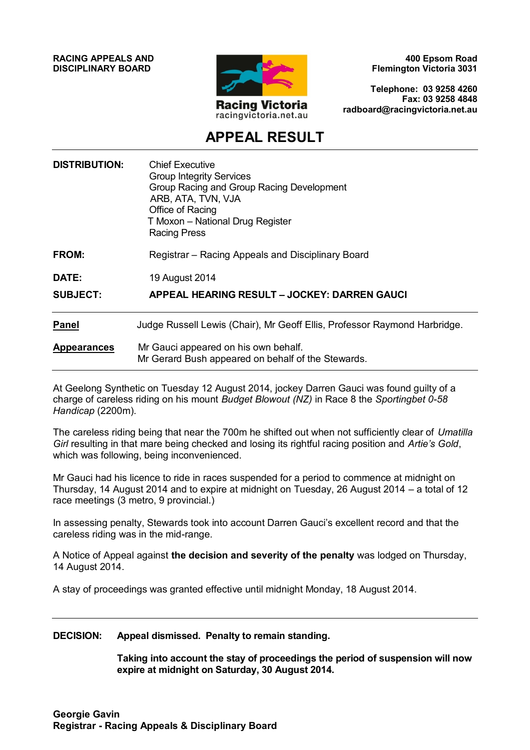**RACING APPEALS AND DISCIPLINARY BOARD**



**400 Epsom Road Flemington Victoria 3031**

**Telephone: 03 9258 4260 Fax: 03 9258 4848 radboard@racingvictoria.net.au**

## **APPEAL RESULT**

| <b>DISTRIBUTION:</b> | <b>Chief Executive</b><br><b>Group Integrity Services</b><br>Group Racing and Group Racing Development<br>ARB, ATA, TVN, VJA<br>Office of Racing<br>T Moxon - National Drug Register<br><b>Racing Press</b> |
|----------------------|-------------------------------------------------------------------------------------------------------------------------------------------------------------------------------------------------------------|
| FROM:                | Registrar – Racing Appeals and Disciplinary Board                                                                                                                                                           |
| DATE:                | 19 August 2014                                                                                                                                                                                              |
| <b>SUBJECT:</b>      | APPEAL HEARING RESULT - JOCKEY: DARREN GAUCI                                                                                                                                                                |
| <b>Panel</b>         | Judge Russell Lewis (Chair), Mr Geoff Ellis, Professor Raymond Harbridge.                                                                                                                                   |
| <b>Appearances</b>   | Mr Gauci appeared on his own behalf.<br>Mr Gerard Bush appeared on behalf of the Stewards.                                                                                                                  |

At Geelong Synthetic on Tuesday 12 August 2014, jockey Darren Gauci was found guilty of a charge of careless riding on his mount *Budget Blowout (NZ)* in Race 8 the *Sportingbet 0-58 Handicap* (2200m).

The careless riding being that near the 700m he shifted out when not sufficiently clear of *Umatilla Girl* resulting in that mare being checked and losing its rightful racing position and *Artie's Gold*, which was following, being inconvenienced.

Mr Gauci had his licence to ride in races suspended for a period to commence at midnight on Thursday, 14 August 2014 and to expire at midnight on Tuesday, 26 August 2014 – a total of 12 race meetings (3 metro, 9 provincial.)

In assessing penalty, Stewards took into account Darren Gauci's excellent record and that the careless riding was in the mid-range.

A Notice of Appeal against **the decision and severity of the penalty** was lodged on Thursday, 14 August 2014.

A stay of proceedings was granted effective until midnight Monday, 18 August 2014.

#### **DECISION: Appeal dismissed. Penalty to remain standing.**

**Taking into account the stay of proceedings the period of suspension will now expire at midnight on Saturday, 30 August 2014.**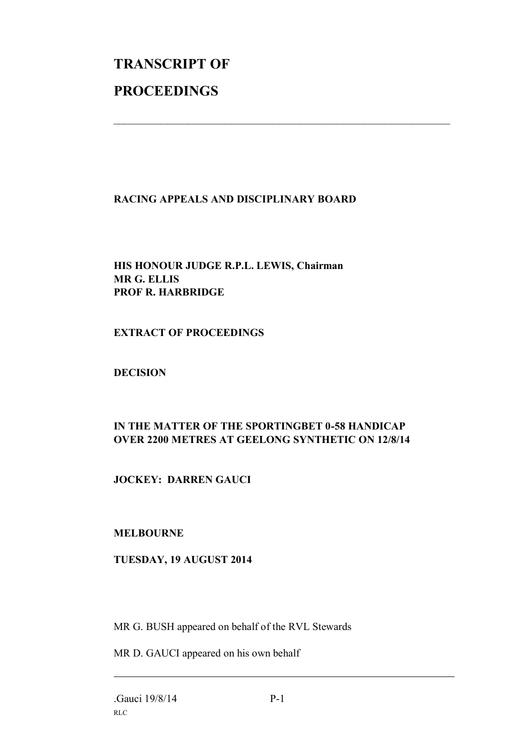# **TRANSCRIPT OF PROCEEDINGS**

#### **RACING APPEALS AND DISCIPLINARY BOARD**

 $\mathcal{L}_\text{max}$  , and the contribution of the contribution of the contribution of the contribution of the contribution of the contribution of the contribution of the contribution of the contribution of the contribution of t

#### **HIS HONOUR JUDGE R.P.L. LEWIS, Chairman MR G. ELLIS PROF R. HARBRIDGE**

#### **EXTRACT OF PROCEEDINGS**

#### **DECISION**

### **IN THE MATTER OF THE SPORTINGBET 0-58 HANDICAP OVER 2200 METRES AT GEELONG SYNTHETIC ON 12/8/14**

#### **JOCKEY: DARREN GAUCI**

#### **MELBOURNE**

#### **TUESDAY, 19 AUGUST 2014**

MR G. BUSH appeared on behalf of the RVL Stewards

MR D. GAUCI appeared on his own behalf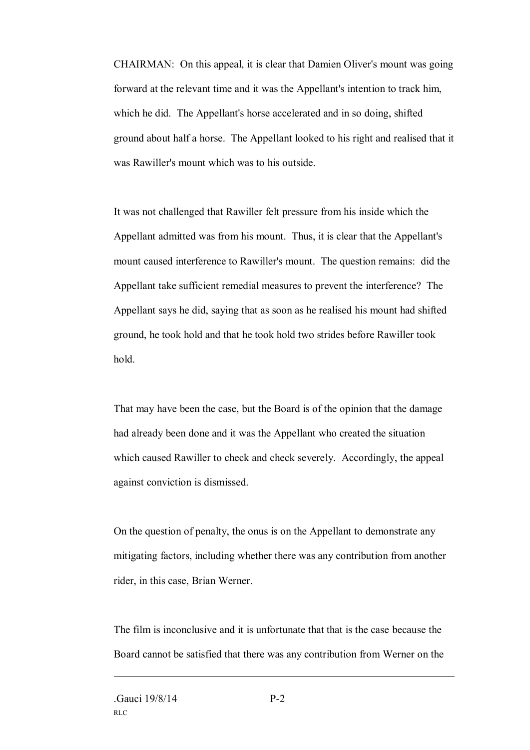CHAIRMAN: On this appeal, it is clear that Damien Oliver's mount was going forward at the relevant time and it was the Appellant's intention to track him, which he did. The Appellant's horse accelerated and in so doing, shifted ground about half a horse. The Appellant looked to his right and realised that it was Rawiller's mount which was to his outside.

It was not challenged that Rawiller felt pressure from his inside which the Appellant admitted was from his mount. Thus, it is clear that the Appellant's mount caused interference to Rawiller's mount. The question remains: did the Appellant take sufficient remedial measures to prevent the interference? The Appellant says he did, saying that as soon as he realised his mount had shifted ground, he took hold and that he took hold two strides before Rawiller took hold.

That may have been the case, but the Board is of the opinion that the damage had already been done and it was the Appellant who created the situation which caused Rawiller to check and check severely. Accordingly, the appeal against conviction is dismissed.

On the question of penalty, the onus is on the Appellant to demonstrate any mitigating factors, including whether there was any contribution from another rider, in this case, Brian Werner.

The film is inconclusive and it is unfortunate that that is the case because the Board cannot be satisfied that there was any contribution from Werner on the